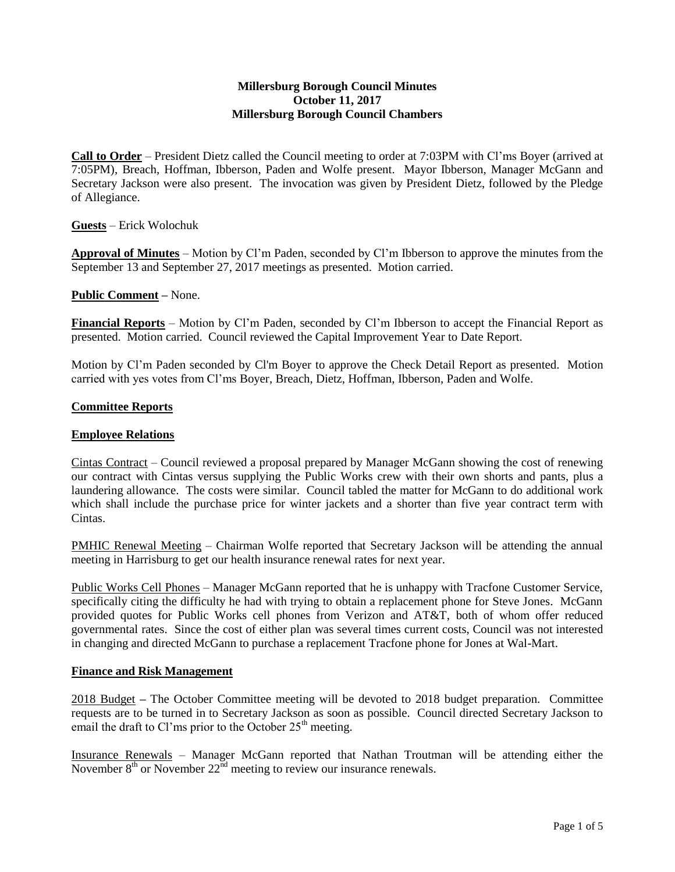## **Millersburg Borough Council Minutes October 11, 2017 Millersburg Borough Council Chambers**

**Call to Order** – President Dietz called the Council meeting to order at 7:03PM with Cl'ms Boyer (arrived at 7:05PM), Breach, Hoffman, Ibberson, Paden and Wolfe present. Mayor Ibberson, Manager McGann and Secretary Jackson were also present. The invocation was given by President Dietz, followed by the Pledge of Allegiance.

**Guests** – Erick Wolochuk

**Approval of Minutes** – Motion by Cl'm Paden, seconded by Cl'm Ibberson to approve the minutes from the September 13 and September 27, 2017 meetings as presented. Motion carried.

**Public Comment –** None.

**Financial Reports** – Motion by Cl'm Paden, seconded by Cl'm Ibberson to accept the Financial Report as presented. Motion carried. Council reviewed the Capital Improvement Year to Date Report.

Motion by Cl'm Paden seconded by Cl'm Boyer to approve the Check Detail Report as presented. Motion carried with yes votes from Cl'ms Boyer, Breach, Dietz, Hoffman, Ibberson, Paden and Wolfe.

#### **Committee Reports**

#### **Employee Relations**

Cintas Contract – Council reviewed a proposal prepared by Manager McGann showing the cost of renewing our contract with Cintas versus supplying the Public Works crew with their own shorts and pants, plus a laundering allowance. The costs were similar. Council tabled the matter for McGann to do additional work which shall include the purchase price for winter jackets and a shorter than five year contract term with Cintas.

PMHIC Renewal Meeting – Chairman Wolfe reported that Secretary Jackson will be attending the annual meeting in Harrisburg to get our health insurance renewal rates for next year.

Public Works Cell Phones – Manager McGann reported that he is unhappy with Tracfone Customer Service, specifically citing the difficulty he had with trying to obtain a replacement phone for Steve Jones. McGann provided quotes for Public Works cell phones from Verizon and AT&T, both of whom offer reduced governmental rates. Since the cost of either plan was several times current costs, Council was not interested in changing and directed McGann to purchase a replacement Tracfone phone for Jones at Wal-Mart.

#### **Finance and Risk Management**

2018 Budget **–** The October Committee meeting will be devoted to 2018 budget preparation. Committee requests are to be turned in to Secretary Jackson as soon as possible. Council directed Secretary Jackson to email the draft to Cl'ms prior to the October  $25<sup>th</sup>$  meeting.

Insurance Renewals – Manager McGann reported that Nathan Troutman will be attending either the November  $8<sup>th</sup>$  or November  $22<sup>nd</sup>$  meeting to review our insurance renewals.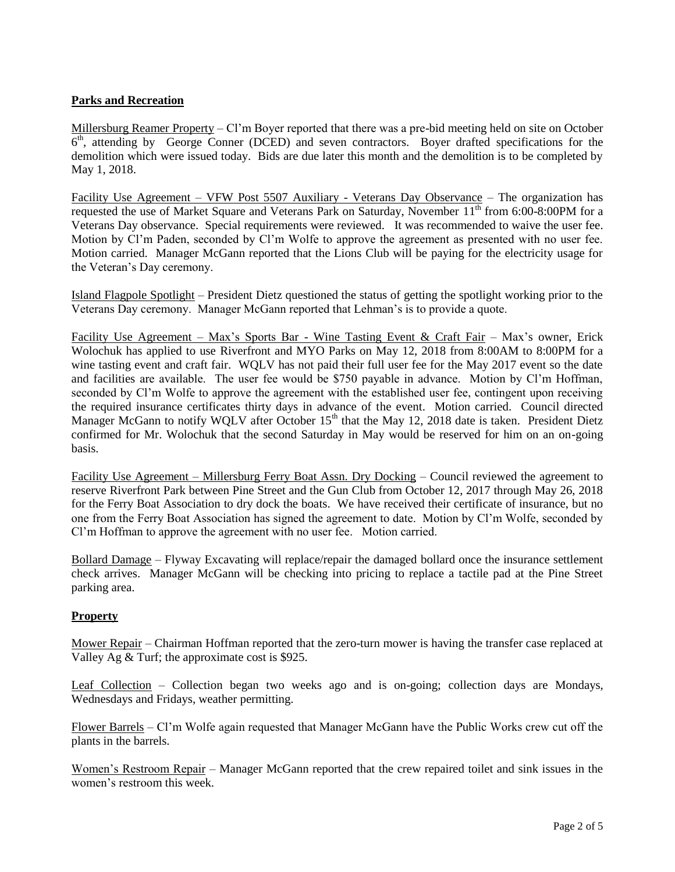# **Parks and Recreation**

Millersburg Reamer Property – Cl'm Boyer reported that there was a pre-bid meeting held on site on October 6<sup>th</sup>, attending by George Conner (DCED) and seven contractors. Boyer drafted specifications for the demolition which were issued today. Bids are due later this month and the demolition is to be completed by May 1, 2018.

Facility Use Agreement – VFW Post 5507 Auxiliary - Veterans Day Observance – The organization has requested the use of Market Square and Veterans Park on Saturday, November 11<sup>th</sup> from 6:00-8:00PM for a Veterans Day observance. Special requirements were reviewed. It was recommended to waive the user fee. Motion by Cl'm Paden, seconded by Cl'm Wolfe to approve the agreement as presented with no user fee. Motion carried. Manager McGann reported that the Lions Club will be paying for the electricity usage for the Veteran's Day ceremony.

Island Flagpole Spotlight – President Dietz questioned the status of getting the spotlight working prior to the Veterans Day ceremony. Manager McGann reported that Lehman's is to provide a quote.

Facility Use Agreement – Max's Sports Bar - Wine Tasting Event & Craft Fair – Max's owner, Erick Wolochuk has applied to use Riverfront and MYO Parks on May 12, 2018 from 8:00AM to 8:00PM for a wine tasting event and craft fair. WQLV has not paid their full user fee for the May 2017 event so the date and facilities are available. The user fee would be \$750 payable in advance. Motion by Cl'm Hoffman, seconded by Cl'm Wolfe to approve the agreement with the established user fee, contingent upon receiving the required insurance certificates thirty days in advance of the event. Motion carried. Council directed Manager McGann to notify WQLV after October 15<sup>th</sup> that the May 12, 2018 date is taken. President Dietz confirmed for Mr. Wolochuk that the second Saturday in May would be reserved for him on an on-going basis.

Facility Use Agreement – Millersburg Ferry Boat Assn. Dry Docking – Council reviewed the agreement to reserve Riverfront Park between Pine Street and the Gun Club from October 12, 2017 through May 26, 2018 for the Ferry Boat Association to dry dock the boats. We have received their certificate of insurance, but no one from the Ferry Boat Association has signed the agreement to date. Motion by Cl'm Wolfe, seconded by Cl'm Hoffman to approve the agreement with no user fee. Motion carried.

Bollard Damage – Flyway Excavating will replace/repair the damaged bollard once the insurance settlement check arrives. Manager McGann will be checking into pricing to replace a tactile pad at the Pine Street parking area.

## **Property**

Mower Repair – Chairman Hoffman reported that the zero-turn mower is having the transfer case replaced at Valley Ag & Turf; the approximate cost is \$925.

Leaf Collection – Collection began two weeks ago and is on-going; collection days are Mondays, Wednesdays and Fridays, weather permitting.

Flower Barrels – Cl'm Wolfe again requested that Manager McGann have the Public Works crew cut off the plants in the barrels.

Women's Restroom Repair – Manager McGann reported that the crew repaired toilet and sink issues in the women's restroom this week.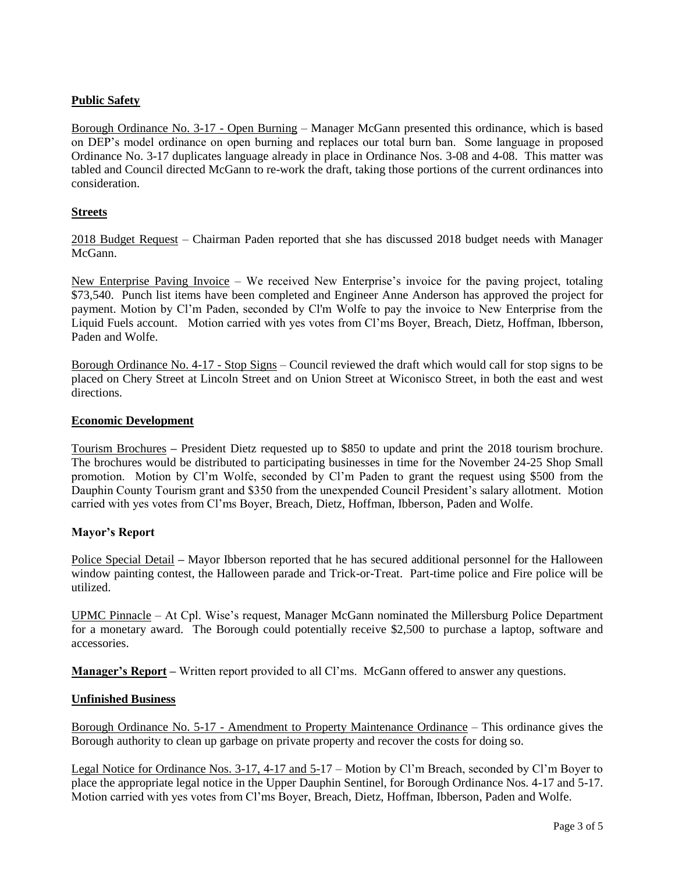# **Public Safety**

Borough Ordinance No. 3-17 - Open Burning – Manager McGann presented this ordinance, which is based on DEP's model ordinance on open burning and replaces our total burn ban. Some language in proposed Ordinance No. 3-17 duplicates language already in place in Ordinance Nos. 3-08 and 4-08. This matter was tabled and Council directed McGann to re-work the draft, taking those portions of the current ordinances into consideration.

# **Streets**

2018 Budget Request – Chairman Paden reported that she has discussed 2018 budget needs with Manager McGann.

New Enterprise Paving Invoice – We received New Enterprise's invoice for the paving project, totaling \$73,540. Punch list items have been completed and Engineer Anne Anderson has approved the project for payment. Motion by Cl'm Paden, seconded by Cl'm Wolfe to pay the invoice to New Enterprise from the Liquid Fuels account. Motion carried with yes votes from Cl'ms Boyer, Breach, Dietz, Hoffman, Ibberson, Paden and Wolfe.

Borough Ordinance No. 4-17 - Stop Signs – Council reviewed the draft which would call for stop signs to be placed on Chery Street at Lincoln Street and on Union Street at Wiconisco Street, in both the east and west directions.

## **Economic Development**

Tourism Brochures **–** President Dietz requested up to \$850 to update and print the 2018 tourism brochure. The brochures would be distributed to participating businesses in time for the November 24-25 Shop Small promotion. Motion by Cl'm Wolfe, seconded by Cl'm Paden to grant the request using \$500 from the Dauphin County Tourism grant and \$350 from the unexpended Council President's salary allotment. Motion carried with yes votes from Cl'ms Boyer, Breach, Dietz, Hoffman, Ibberson, Paden and Wolfe.

## **Mayor's Report**

Police Special Detail **–** Mayor Ibberson reported that he has secured additional personnel for the Halloween window painting contest, the Halloween parade and Trick-or-Treat. Part-time police and Fire police will be utilized.

UPMC Pinnacle – At Cpl. Wise's request, Manager McGann nominated the Millersburg Police Department for a monetary award. The Borough could potentially receive \$2,500 to purchase a laptop, software and accessories.

**Manager's Report –** Written report provided to all Cl'ms. McGann offered to answer any questions.

## **Unfinished Business**

Borough Ordinance No. 5-17 - Amendment to Property Maintenance Ordinance – This ordinance gives the Borough authority to clean up garbage on private property and recover the costs for doing so.

Legal Notice for Ordinance Nos. 3-17, 4-17 and 5-17 – Motion by Cl'm Breach, seconded by Cl'm Boyer to place the appropriate legal notice in the Upper Dauphin Sentinel, for Borough Ordinance Nos. 4-17 and 5-17. Motion carried with yes votes from Cl'ms Boyer, Breach, Dietz, Hoffman, Ibberson, Paden and Wolfe.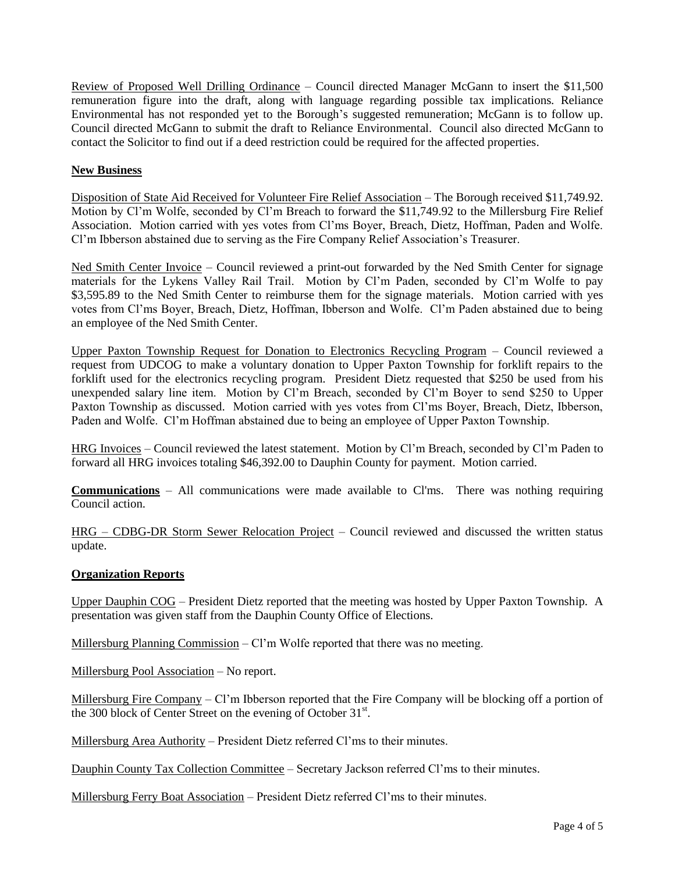Review of Proposed Well Drilling Ordinance – Council directed Manager McGann to insert the \$11,500 remuneration figure into the draft, along with language regarding possible tax implications. Reliance Environmental has not responded yet to the Borough's suggested remuneration; McGann is to follow up. Council directed McGann to submit the draft to Reliance Environmental. Council also directed McGann to contact the Solicitor to find out if a deed restriction could be required for the affected properties.

# **New Business**

Disposition of State Aid Received for Volunteer Fire Relief Association – The Borough received \$11,749.92. Motion by Cl'm Wolfe, seconded by Cl'm Breach to forward the \$11,749.92 to the Millersburg Fire Relief Association. Motion carried with yes votes from Cl'ms Boyer, Breach, Dietz, Hoffman, Paden and Wolfe. Cl'm Ibberson abstained due to serving as the Fire Company Relief Association's Treasurer.

Ned Smith Center Invoice – Council reviewed a print-out forwarded by the Ned Smith Center for signage materials for the Lykens Valley Rail Trail. Motion by Cl'm Paden, seconded by Cl'm Wolfe to pay \$3,595.89 to the Ned Smith Center to reimburse them for the signage materials. Motion carried with yes votes from Cl'ms Boyer, Breach, Dietz, Hoffman, Ibberson and Wolfe. Cl'm Paden abstained due to being an employee of the Ned Smith Center.

Upper Paxton Township Request for Donation to Electronics Recycling Program – Council reviewed a request from UDCOG to make a voluntary donation to Upper Paxton Township for forklift repairs to the forklift used for the electronics recycling program. President Dietz requested that \$250 be used from his unexpended salary line item. Motion by Cl'm Breach, seconded by Cl'm Boyer to send \$250 to Upper Paxton Township as discussed. Motion carried with yes votes from Cl'ms Boyer, Breach, Dietz, Ibberson, Paden and Wolfe. Cl'm Hoffman abstained due to being an employee of Upper Paxton Township.

HRG Invoices – Council reviewed the latest statement. Motion by Cl'm Breach, seconded by Cl'm Paden to forward all HRG invoices totaling \$46,392.00 to Dauphin County for payment. Motion carried.

**Communications** – All communications were made available to Cl'ms. There was nothing requiring Council action.

HRG – CDBG-DR Storm Sewer Relocation Project – Council reviewed and discussed the written status update.

## **Organization Reports**

Upper Dauphin COG – President Dietz reported that the meeting was hosted by Upper Paxton Township. A presentation was given staff from the Dauphin County Office of Elections.

Millersburg Planning Commission – Cl'm Wolfe reported that there was no meeting.

Millersburg Pool Association – No report.

Millersburg Fire Company – Cl'm Ibberson reported that the Fire Company will be blocking off a portion of the 300 block of Center Street on the evening of October 31<sup>st</sup>.

Millersburg Area Authority – President Dietz referred Cl'ms to their minutes.

Dauphin County Tax Collection Committee – Secretary Jackson referred Cl'ms to their minutes.

Millersburg Ferry Boat Association – President Dietz referred Cl'ms to their minutes.